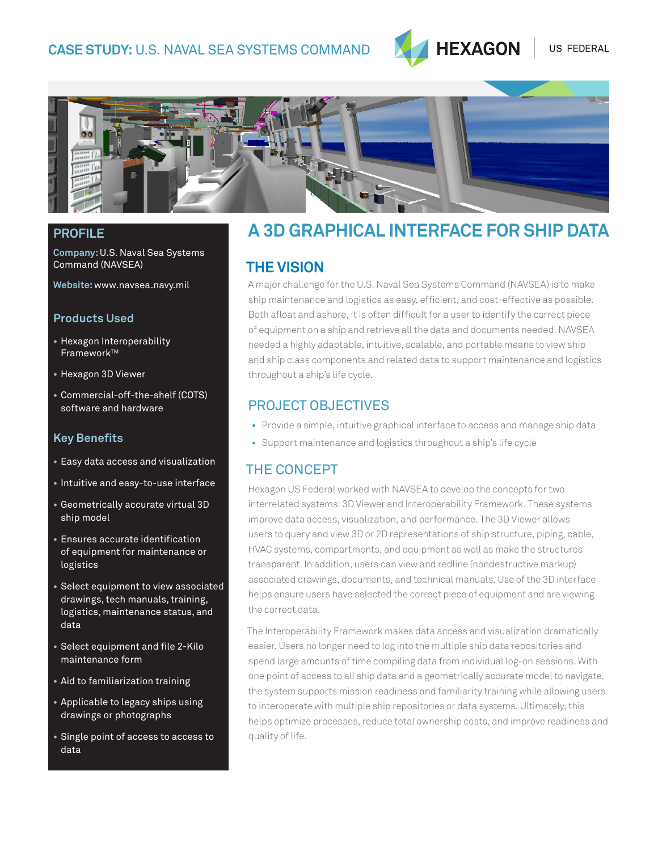

US FEDERAL



**Company:** U.S. Naval Sea Systems Command (NAVSEA)

**Website:** www.navsea.navy.mil

#### **Products Used**

- **•** Hexagon Interoperability Framework™
- **•** Hexagon 3D Viewer
- **•** Commercial-off-the-shelf (COTS) software and hardware

#### **Key Benefits**

- **•** Easy data access and visualization
- **•** Intuitive and easy-to-use interface
- **•** Geometrically accurate virtual 3D ship model
- **•** Ensures accurate identification of equipment for maintenance or logistics
- **•** Select equipment to view associated drawings, tech manuals, training, logistics, maintenance status, and data
- **•** Select equipment and file 2-Kilo maintenance form
- **•** Aid to familiarization training
- **•** Applicable to legacy ships using drawings or photographs
- **•** Single point of access to access to data

# **PROFILE A 3D GRAPHICAL INTERFACE FOR SHIP DATA**

#### **THE VISION**

A major challenge for the U.S. Naval Sea Systems Command (NAVSEA) is to make ship maintenance and logistics as easy, efficient, and cost-effective as possible. Both afloat and ashore, it is often difficult for a user to identify the correct piece of equipment on a ship and retrieve all the data and documents needed. NAVSEA needed a highly adaptable, intuitive, scalable, and portable means to view ship and ship class components and related data to support maintenance and logistics throughout a ship's life cycle.

#### PROJECT OBJECTIVES

- Provide a simple, intuitive graphical interface to access and manage ship data
- Support maintenance and logistics throughout a ship's life cycle

#### THE CONCEPT

Hexagon US Federal worked with NAVSEA to develop the concepts for two interrelated systems: 3D Viewer and Interoperability Framework. These systems improve data access, visualization, and performance. The 3D Viewer allows users to query and view 3D or 2D representations of ship structure, piping, cable, HVAC systems, compartments, and equipment as well as make the structures transparent. In addition, users can view and redline (nondestructive markup) associated drawings, documents, and technical manuals. Use of the 3D interface helps ensure users have selected the correct piece of equipment and are viewing the correct data.

The Interoperability Framework makes data access and visualization dramatically easier. Users no longer need to log into the multiple ship data repositories and spend large amounts of time compiling data from individual log-on sessions. With one point of access to all ship data and a geometrically accurate model to navigate, the system supports mission readiness and familiarity training while allowing users to interoperate with multiple ship repositories or data systems. Ultimately, this helps optimize processes, reduce total ownership costs, and improve readiness and quality of life.